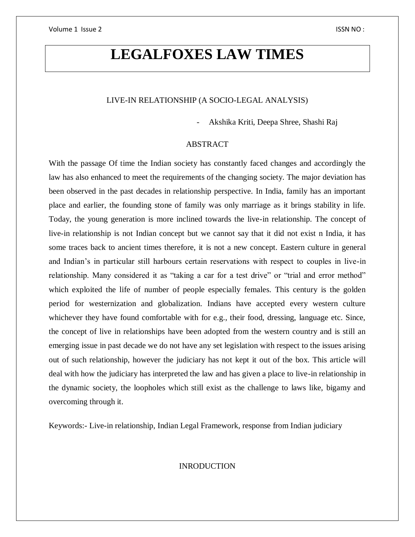# **LEGALFOXES LAW TIMES**

# LIVE-IN RELATIONSHIP (A SOCIO-LEGAL ANALYSIS)

- Akshika Kriti, Deepa Shree, Shashi Raj

## ABSTRACT

With the passage Of time the Indian society has constantly faced changes and accordingly the law has also enhanced to meet the requirements of the changing society. The major deviation has been observed in the past decades in relationship perspective. In India, family has an important place and earlier, the founding stone of family was only marriage as it brings stability in life. Today, the young generation is more inclined towards the live-in relationship. The concept of live-in relationship is not Indian concept but we cannot say that it did not exist n India, it has some traces back to ancient times therefore, it is not a new concept. Eastern culture in general and Indian's in particular still harbours certain reservations with respect to couples in live-in relationship. Many considered it as "taking a car for a test drive" or "trial and error method" which exploited the life of number of people especially females. This century is the golden period for westernization and globalization. Indians have accepted every western culture whichever they have found comfortable with for e.g., their food, dressing, language etc. Since, the concept of live in relationships have been adopted from the western country and is still an emerging issue in past decade we do not have any set legislation with respect to the issues arising out of such relationship, however the judiciary has not kept it out of the box. This article will deal with how the judiciary has interpreted the law and has given a place to live-in relationship in the dynamic society, the loopholes which still exist as the challenge to laws like, bigamy and overcoming through it.

Keywords:- Live-in relationship, Indian Legal Framework, response from Indian judiciary

INRODUCTION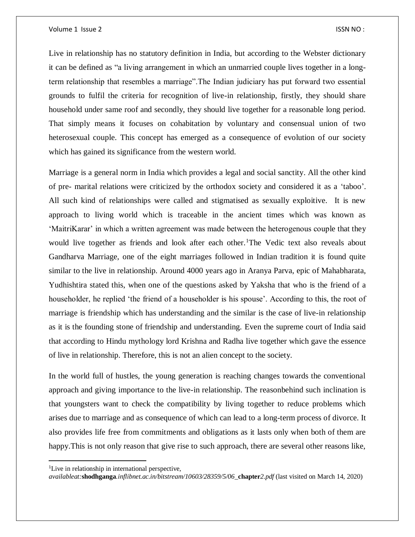Live in relationship has no statutory definition in India, but according to the Webster dictionary it can be defined as "a living arrangement in which an unmarried couple lives together in a longterm relationship that resembles a marriage".The Indian judiciary has put forward two essential grounds to fulfil the criteria for recognition of live-in relationship, firstly, they should share household under same roof and secondly, they should live together for a reasonable long period. That simply means it focuses on cohabitation by voluntary and consensual union of two heterosexual couple. This concept has emerged as a consequence of evolution of our society which has gained its significance from the western world.

Marriage is a general norm in India which provides a legal and social sanctity. All the other kind of pre- marital relations were criticized by the orthodox society and considered it as a 'taboo'. All such kind of relationships were called and stigmatised as sexually exploitive. It is new approach to living world which is traceable in the ancient times which was known as 'MaitriKarar' in which a written agreement was made between the heterogenous couple that they would live together as friends and look after each other.<sup>1</sup>The Vedic text also reveals about Gandharva Marriage, one of the eight marriages followed in Indian tradition it is found quite similar to the live in relationship. Around 4000 years ago in Aranya Parva, epic of Mahabharata, Yudhishtira stated this, when one of the questions asked by Yaksha that who is the friend of a householder, he replied 'the friend of a householder is his spouse'. According to this, the root of marriage is friendship which has understanding and the similar is the case of live-in relationship as it is the founding stone of friendship and understanding. Even the supreme court of India said that according to Hindu mythology lord Krishna and Radha live together which gave the essence of live in relationship. Therefore, this is not an alien concept to the society.

In the world full of hustles, the young generation is reaching changes towards the conventional approach and giving importance to the live-in relationship. The reasonbehind such inclination is that youngsters want to check the compatibility by living together to reduce problems which arises due to marriage and as consequence of which can lead to a long-term process of divorce. It also provides life free from commitments and obligations as it lasts only when both of them are happy.This is not only reason that give rise to such approach, there are several other reasons like,

<sup>&</sup>lt;sup>1</sup>Live in relationship in international perspective,

*availableat:***shodhganga***.inflibnet.ac.in/bitstream/10603/28359/5/06\_***chapter***2.pdf* (last visited on March 14, 2020)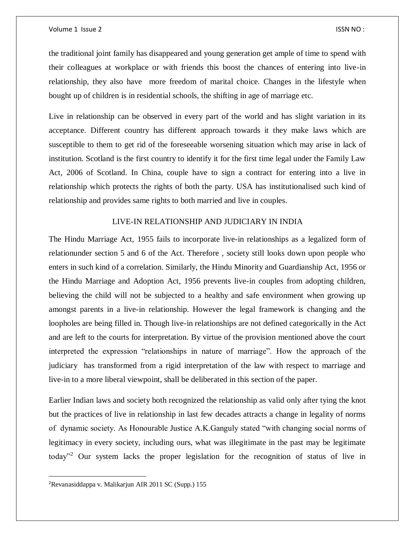#### Volume 1 Issue 2 ISSN NO :

the traditional joint family has disappeared and young generation get ample of time to spend with their colleagues at workplace or with friends this boost the chances of entering into live-in relationship, they also have more freedom of marital choice. Changes in the lifestyle when bought up of children is in residential schools, the shifting in age of marriage etc.

Live in relationship can be observed in every part of the world and has slight variation in its acceptance. Different country has different approach towards it they make laws which are susceptible to them to get rid of the foreseeable worsening situation which may arise in lack of institution. Scotland is the first country to identify it for the first time legal under the Family Law Act, 2006 of Scotland. In China, couple have to sign a contract for entering into a live in relationship which protects the rights of both the party. USA has institutionalised such kind of relationship and provides same rights to both married and live in couples.

# LIVE-IN RELATIONSHIP AND JUDICIARY IN INDIA

The Hindu Marriage Act, 1955 fails to incorporate live-in relationships as a legalized form of relationunder section 5 and 6 of the Act. Therefore , society still looks down upon people who enters in such kind of a correlation. Similarly, the Hindu Minority and Guardianship Act, 1956 or the Hindu Marriage and Adoption Act, 1956 prevents live-in couples from adopting children, believing the child will not be subjected to a healthy and safe environment when growing up amongst parents in a live-in relationship. However the legal framework is changing and the loopholes are being filled in. Though live-in relationships are not defined categorically in the Act and are left to the courts for interpretation. By virtue of the provision mentioned above the court interpreted the expression "relationships in nature of marriage". How the approach of the judiciary has transformed from a rigid interpretation of the law with respect to marriage and live-in to a more liberal viewpoint, shall be deliberated in this section of the paper.

Earlier Indian laws and society both recognized the relationship as valid only after tying the knot but the practices of live in relationship in last few decades attracts a change in legality of norms of dynamic society. As Honourable Justice A.K.Ganguly stated "with changing social norms of legitimacy in every society, including ours, what was illegitimate in the past may be legitimate today"<sup>2</sup> Our system lacks the proper legislation for the recognition of status of live in

<sup>2</sup>Revanasiddappa v. Malikarjun AIR 2011 SC (Supp.) 155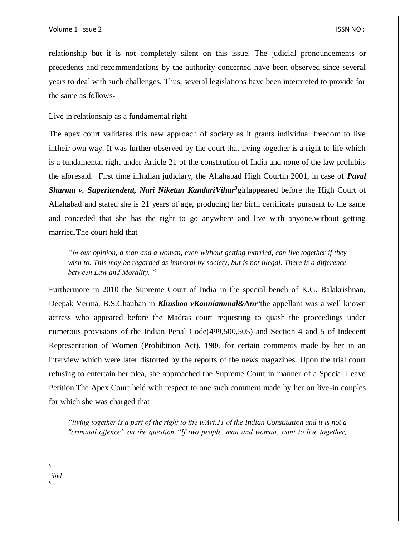relationship but it is not completely silent on this issue. The judicial pronouncements or precedents and recommendations by the authority concerned have been observed since several years to deal with such challenges. Thus, several legislations have been interpreted to provide for the same as follows-

## Live in relationship as a fundamental right

The apex court validates this new approach of society as it grants individual freedom to live intheir own way. It was further observed by the court that living together is a right to life which is a fundamental right under Article 21 of the constitution of India and none of the law prohibits the aforesaid. First time inIndian judiciary, the Allahabad High Courtin 2001, in case of *Payal Sharma v. Superitendent, Nari Niketan KandariVihar<sup>3</sup>*girlappeared before the High Court of Allahabad and stated she is 21 years of age, producing her birth certificate pursuant to the same and conceded that she has the right to go anywhere and live with anyone,without getting married.The court held that

*"In our opinion, a man and a woman, even without getting married, can live together if they wish to. This may be regarded as immoral by society, but is not illegal. There is a difference between Law and Morality."<sup>4</sup>*

Furthermore in 2010 the Supreme Court of India in the special bench of K.G. Balakrishnan, Deepak Verma, B.S.Chauhan in *Khusboo vKanniammal&Anr*<sup>5</sup>the appellant was a well known actress who appeared before the Madras court requesting to quash the proceedings under numerous provisions of the Indian Penal Code(499,500,505) and Section 4 and 5 of Indecent Representation of Women (Prohibition Act), 1986 for certain comments made by her in an interview which were later distorted by the reports of the news magazines. Upon the trial court refusing to entertain her plea, she approached the Supreme Court in manner of a Special Leave Petition.The Apex Court held with respect to one such comment made by her on live-in couples for which she was charged that

*"living together is a part of the right to life u/Art.21 of the Indian Constitution and it is not a "criminal offence" on the question "If two people, man and woman, want to live together,* 

 $\overline{a}$  $\overline{a}$ 

> 4 *ibid* 5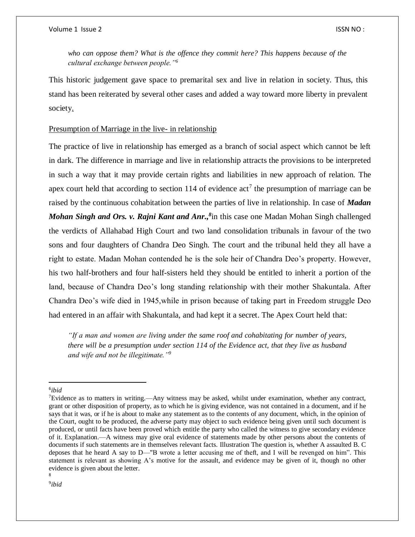*who can oppose them? What is the offence they commit here? This happens because of the cultural exchange between people."<sup>6</sup>*

This historic judgement gave space to premarital sex and live in relation in society. Thus, this stand has been reiterated by several other cases and added a way toward more liberty in prevalent society.

# Presumption of Marriage in the live- in relationship

The practice of live in relationship has emerged as a branch of social aspect which cannot be left in dark. The difference in marriage and live in relationship attracts the provisions to be interpreted in such a way that it may provide certain rights and liabilities in new approach of relation. The apex court held that according to section 114 of evidence  $act<sup>7</sup>$  the presumption of marriage can be raised by the continuous cohabitation between the parties of live in relationship. In case of *Madan Mohan Singh and Ors. v. Rajni Kant and Anr.*,<sup>8</sup>in this case one Madan Mohan Singh challenged the verdicts of Allahabad High Court and two land consolidation tribunals in favour of the two sons and four daughters of Chandra Deo Singh. The court and the tribunal held they all have a right to estate. Madan Mohan contended he is the sole heir of Chandra Deo's property. However, his two half-brothers and four half-sisters held they should be entitled to inherit a portion of the land, because of Chandra Deo's long standing relationship with their mother Shakuntala. After Chandra Deo's wife died in 1945,while in prison because of taking part in Freedom struggle Deo had entered in an affair with Shakuntala, and had kept it a secret. The Apex Court held that:

*"If a man and women are living under the same roof and cohabitating for number of years, there will be a presumption under section 114 of the Evidence act, that they live as husband and wife and not be illegitimate."<sup>9</sup>*

<sup>6</sup> *ibid*

<sup>7</sup>Evidence as to matters in writing.—Any witness may be asked, whilst under examination, whether any contract, grant or other disposition of property, as to which he is giving evidence, was not contained in a document, and if he says that it was, or if he is about to make any statement as to the contents of any document, which, in the opinion of the Court, ought to be produced, the adverse party may object to such evidence being given until such document is produced, or until facts have been proved which entitle the party who called the witness to give secondary evidence of it. Explanation.—A witness may give oral evidence of statements made by other persons about the contents of documents if such statements are in themselves relevant facts. Illustration The question is, whether A assaulted B. C deposes that he heard A say to D—"B wrote a letter accusing me of theft, and I will be revenged on him". This statement is relevant as showing A's motive for the assault, and evidence may be given of it, though no other evidence is given about the letter.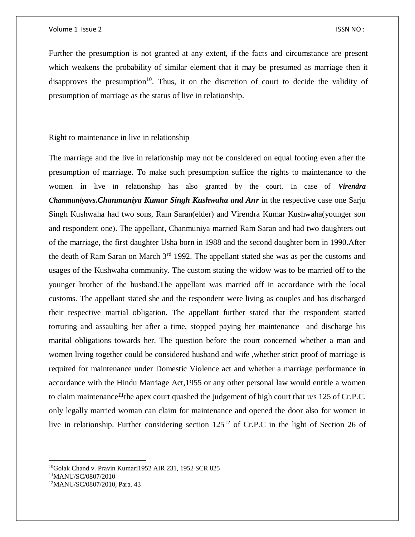Further the presumption is not granted at any extent, if the facts and circumstance are present which weakens the probability of similar element that it may be presumed as marriage then it disapproves the presumption<sup>10</sup>. Thus, it on the discretion of court to decide the validity of presumption of marriage as the status of live in relationship.

## Right to maintenance in live in relationship

The marriage and the live in relationship may not be considered on equal footing even after the presumption of marriage. To make such presumption suffice the rights to maintenance to the women in live in relationship has also granted by the court. In case of *Virendra Chanmuniyavs.Chanmuniya Kumar Singh Kushwaha and Anr* in the respective case one Sarju Singh Kushwaha had two sons, Ram Saran(elder) and Virendra Kumar Kushwaha(younger son and respondent one). The appellant, Chanmuniya married Ram Saran and had two daughters out of the marriage, the first daughter Usha born in 1988 and the second daughter born in 1990.After the death of Ram Saran on March 3<sup>rd</sup> 1992. The appellant stated she was as per the customs and usages of the Kushwaha community. The custom stating the widow was to be married off to the younger brother of the husband.The appellant was married off in accordance with the local customs. The appellant stated she and the respondent were living as couples and has discharged their respective martial obligation. The appellant further stated that the respondent started torturing and assaulting her after a time, stopped paying her maintenance and discharge his marital obligations towards her. The question before the court concerned whether a man and women living together could be considered husband and wife ,whether strict proof of marriage is required for maintenance under Domestic Violence act and whether a marriage performance in accordance with the Hindu Marriage Act,1955 or any other personal law would entitle a women to claim maintenance*<sup>11</sup>*the apex court quashed the judgement of high court that u/s 125 of Cr.P.C. only legally married woman can claim for maintenance and opened the door also for women in live in relationship. Further considering section 125<sup>12</sup> of Cr.P.C in the light of Section 26 of

<sup>&</sup>lt;sup>10</sup>Golak Chand v. Pravin Kumari1952 AIR 231, 1952 SCR 825

<sup>11</sup>MANU/SC/0807/2010

<sup>12</sup>MANU/SC/0807/2010, Para. 43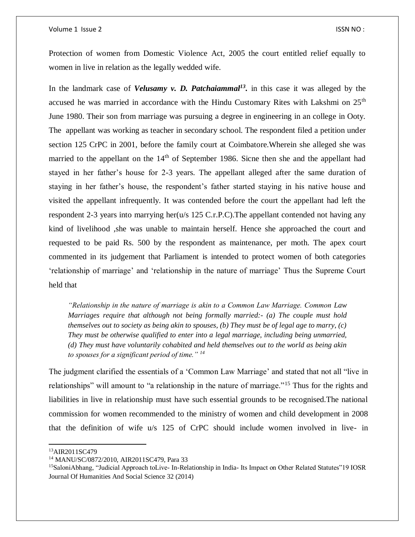#### Volume 1 Issue 2 ISSN NO :

Protection of women from Domestic Violence Act, 2005 the court entitled relief equally to women in live in relation as the legally wedded wife.

In the landmark case of *Velusamy v. D. Patchaiammal<sup>13</sup> .* in this case it was alleged by the accused he was married in accordance with the Hindu Customary Rites with Lakshmi on  $25<sup>th</sup>$ June 1980. Their son from marriage was pursuing a degree in engineering in an college in Ooty. The appellant was working as teacher in secondary school. The respondent filed a petition under section 125 CrPC in 2001, before the family court at Coimbatore.Wherein she alleged she was married to the appellant on the  $14<sup>th</sup>$  of September 1986. Sicne then she and the appellant had stayed in her father's house for 2-3 years. The appellant alleged after the same duration of staying in her father's house, the respondent's father started staying in his native house and visited the appellant infrequently. It was contended before the court the appellant had left the respondent 2-3 years into marrying her(u/s 125 C.r.P.C). The appellant contended not having any kind of livelihood ,she was unable to maintain herself. Hence she approached the court and requested to be paid Rs. 500 by the respondent as maintenance, per moth. The apex court commented in its judgement that Parliament is intended to protect women of both categories 'relationship of marriage' and 'relationship in the nature of marriage' Thus the Supreme Court held that

*"Relationship in the nature of marriage is akin to a Common Law Marriage. Common Law Marriages require that although not being formally married:- (a) The couple must hold themselves out to society as being akin to spouses, (b) They must be of legal age to marry, (c) They must be otherwise qualified to enter into a legal marriage, including being unmarried, (d) They must have voluntarily cohabited and held themselves out to the world as being akin to spouses for a significant period of time." <sup>14</sup>*

The judgment clarified the essentials of a 'Common Law Marriage' and stated that not all "live in relationships" will amount to "a relationship in the nature of marriage."<sup>15</sup> Thus for the rights and liabilities in live in relationship must have such essential grounds to be recognised.The national commission for women recommended to the ministry of women and child development in 2008 that the definition of wife u/s 125 of CrPC should include women involved in live- in

<sup>13</sup>AIR2011SC479

<sup>14</sup> MANU/SC/0872/2010, AIR2011SC479, Para 33

<sup>&</sup>lt;sup>15</sup>SaloniAbhang, "Judicial Approach toLive- In-Relationship in India- Its Impact on Other Related Statutes"19 IOSR Journal Of Humanities And Social Science 32 (2014)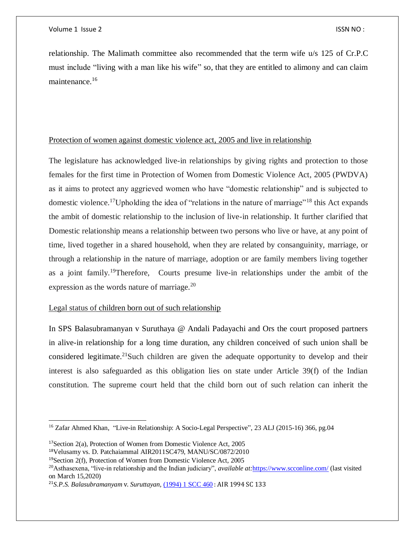relationship. The Malimath committee also recommended that the term wife u/s 125 of Cr.P.C must include "living with a man like his wife" so, that they are entitled to alimony and can claim maintenance.<sup>16</sup>

## Protection of women against domestic violence act, 2005 and live in relationship

The legislature has acknowledged live-in relationships by giving rights and protection to those females for the first time in Protection of Women from Domestic Violence Act, 2005 (PWDVA) as it aims to protect any aggrieved women who have "domestic relationship" and is subjected to domestic violence.<sup>17</sup>Upholding the idea of "relations in the nature of marriage"<sup>18</sup> this Act expands the ambit of domestic relationship to the inclusion of live-in relationship. It further clarified that Domestic relationship means a relationship between two persons who live or have, at any point of time, lived together in a shared household, when they are related by consanguinity, marriage, or through a relationship in the nature of marriage, adoption or are family members living together as a joint family.<sup>19</sup>Therefore, Courts presume live-in relationships under the ambit of the expression as the words nature of marriage.<sup>20</sup>

## Legal status of children born out of such relationship

In SPS Balasubramanyan v Suruthaya @ Andali Padayachi and Ors the court proposed partners in alive-in relationship for a long time duration, any children conceived of such union shall be considered legitimate.<sup>21</sup>Such children are given the adequate opportunity to develop and their interest is also safeguarded as this obligation lies on state under Article 39(f) of the Indian constitution. The supreme court held that the child born out of such relation can inherit the

<sup>&</sup>lt;sup>16</sup> Zafar Ahmed Khan, "Live-in Relationship: A Socio-Legal Perspective", 23 ALJ (2015-16) 366, pg.04

 $17$ Section 2(a), Protection of Women from Domestic Violence Act, 2005

<sup>18</sup>Velusamy vs. D. Patchaiammal AIR2011SC479, MANU/SC/0872/2010

<sup>19</sup>Section 2(f), Protection of Women from Domestic Violence Act, 2005

<sup>20</sup>Asthasexena, "live-in relationship and the Indian judiciary", *available at:*<https://www.scconline.com/> (last visited on March 15,2020)

<sup>21</sup>*S.P.S. Balasubramanyam* v. *Suruttayan,* [\(1994\)](http://scconline.com/DocumentLink/L3k7TA2H) 1 SCC 460 : AIR 1994 SC 133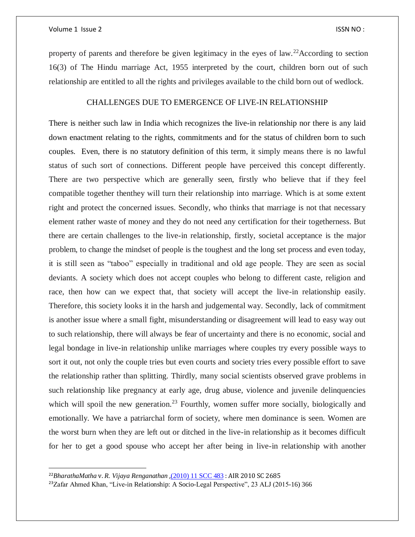$\overline{\phantom{a}}$ 

property of parents and therefore be given legitimacy in the eyes of law.<sup>22</sup>According to section 16(3) of The Hindu marriage Act, 1955 interpreted by the court, children born out of such relationship are entitled to all the rights and privileges available to the child born out of wedlock.

# CHALLENGES DUE TO EMERGENCE OF LIVE-IN RELATIONSHIP

There is neither such law in India which recognizes the live-in relationship nor there is any laid down enactment relating to the rights, commitments and for the status of children born to such couples. Even, there is no statutory definition of this term, it simply means there is no lawful status of such sort of connections. Different people have perceived this concept differently. There are two perspective which are generally seen, firstly who believe that if they feel compatible together thenthey will turn their relationship into marriage. Which is at some extent right and protect the concerned issues. Secondly, who thinks that marriage is not that necessary element rather waste of money and they do not need any certification for their togetherness. But there are certain challenges to the live-in relationship, firstly, societal acceptance is the major problem, to change the mindset of people is the toughest and the long set process and even today, it is still seen as "taboo" especially in traditional and old age people. They are seen as social deviants. A society which does not accept couples who belong to different caste, religion and race, then how can we expect that, that society will accept the live-in relationship easily. Therefore, this society looks it in the harsh and judgemental way. Secondly, lack of commitment is another issue where a small fight, misunderstanding or disagreement will lead to easy way out to such relationship, there will always be fear of uncertainty and there is no economic, social and legal bondage in live-in relationship unlike marriages where couples try every possible ways to sort it out, not only the couple tries but even courts and society tries every possible effort to save the relationship rather than splitting. Thirdly, many social scientists observed grave problems in such relationship like pregnancy at early age, drug abuse, violence and juvenile delinquencies which will spoil the new generation.<sup>23</sup> Fourthly, women suffer more socially, biologically and emotionally. We have a patriarchal form of society, where men dominance is seen. Women are the worst burn when they are left out or ditched in the live-in relationship as it becomes difficult for her to get a good spouse who accept her after being in live-in relationship with another

<sup>22</sup>*BharathaMatha* v. *R. Vijaya Renganathan* ,[\(2010\)](http://scconline.com/DocumentLink/x2VNJf0F) 11 SCC 483 : AIR 2010 SC 2685

<sup>23</sup>Zafar Ahmed Khan, "Live-in Relationship: A Socio-Legal Perspective", 23 ALJ (2015-16) 366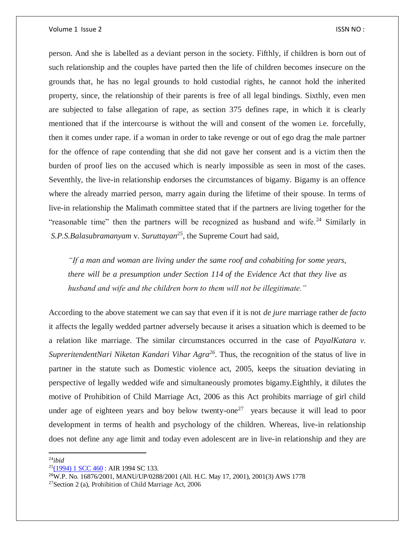person. And she is labelled as a deviant person in the society. Fifthly, if children is born out of such relationship and the couples have parted then the life of children becomes insecure on the grounds that, he has no legal grounds to hold custodial rights, he cannot hold the inherited property, since, the relationship of their parents is free of all legal bindings. Sixthly, even men are subjected to false allegation of rape, as section 375 defines rape, in which it is clearly mentioned that if the intercourse is without the will and consent of the women i.e. forcefully, then it comes under rape. if a woman in order to take revenge or out of ego drag the male partner for the offence of rape contending that she did not gave her consent and is a victim then the burden of proof lies on the accused which is nearly impossible as seen in most of the cases. Seventhly, the live-in relationship endorses the circumstances of bigamy. Bigamy is an offence where the already married person, marry again during the lifetime of their spouse. In terms of live-in relationship the Malimath committee stated that if the partners are living together for the "reasonable time" then the partners will be recognized as husband and wife.<sup>24</sup> Similarly in *S.P.S.Balasubramanyam* v. *Suruttayan<sup>25</sup>*, the Supreme Court had said,

*"If a man and woman are living under the same roof and cohabiting for some years, there will be a presumption under Section 114 of the Evidence Act that they live as husband and wife and the children born to them will not be illegitimate."*

According to the above statement we can say that even if it is not *de jure* marriage rather *de facto* it affects the legally wedded partner adversely because it arises a situation which is deemed to be a relation like marriage. The similar circumstances occurred in the case of *PayalKatara v. SupreritendentNari Niketan Kandari Vihar Agra<sup>26</sup> .* Thus, the recognition of the status of live in partner in the statute such as Domestic violence act, 2005, keeps the situation deviating in perspective of legally wedded wife and simultaneously promotes bigamy.Eighthly, it dilutes the motive of Prohibition of Child Marriage Act, 2006 as this Act prohibits marriage of girl child under age of eighteen years and boy below twenty-one<sup>27</sup> years because it will lead to poor development in terms of health and psychology of the children. Whereas, live-in relationship does not define any age limit and today even adolescent are in live-in relationship and they are

<sup>24</sup>*ibid*

 $25(1994)$  $25(1994)$  1 SCC 460 : AIR 1994 SC 133.

<sup>26</sup>W.P. No. 16876/2001, MANU/UP/0288/2001 (All. H.C. May 17, 2001), 2001(3) AWS 1778

<sup>27</sup>Section 2 (a), Prohibition of Child Marriage Act, 2006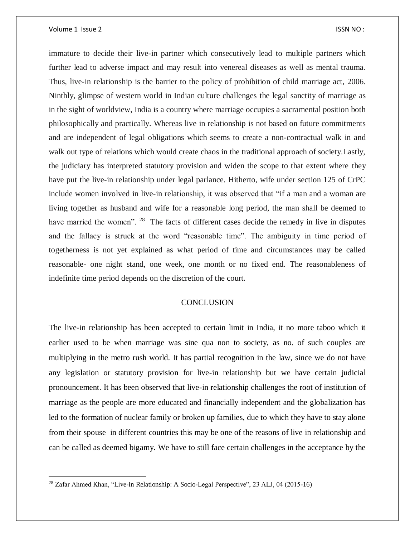#### Volume 1 Issue 2 ISSN NO :

 $\overline{a}$ 

immature to decide their live-in partner which consecutively lead to multiple partners which further lead to adverse impact and may result into venereal diseases as well as mental trauma. Thus, live-in relationship is the barrier to the policy of prohibition of child marriage act, 2006. Ninthly, glimpse of western world in Indian culture challenges the legal sanctity of marriage as in the sight of worldview, India is a country where marriage occupies a sacramental position both philosophically and practically. Whereas live in relationship is not based on future commitments and are independent of legal obligations which seems to create a non-contractual walk in and walk out type of relations which would create chaos in the traditional approach of society. Lastly, the judiciary has interpreted statutory provision and widen the scope to that extent where they have put the live-in relationship under legal parlance. Hitherto, wife under section 125 of CrPC include women involved in live-in relationship, it was observed that "if a man and a woman are living together as husband and wife for a reasonable long period, the man shall be deemed to have married the women". <sup>28</sup> The facts of different cases decide the remedy in live in disputes and the fallacy is struck at the word "reasonable time". The ambiguity in time period of togetherness is not yet explained as what period of time and circumstances may be called reasonable- one night stand, one week, one month or no fixed end. The reasonableness of indefinite time period depends on the discretion of the court.

## **CONCLUSION**

The live-in relationship has been accepted to certain limit in India, it no more taboo which it earlier used to be when marriage was sine qua non to society, as no. of such couples are multiplying in the metro rush world. It has partial recognition in the law, since we do not have any legislation or statutory provision for live-in relationship but we have certain judicial pronouncement. It has been observed that live-in relationship challenges the root of institution of marriage as the people are more educated and financially independent and the globalization has led to the formation of nuclear family or broken up families, due to which they have to stay alone from their spouse in different countries this may be one of the reasons of live in relationship and can be called as deemed bigamy. We have to still face certain challenges in the acceptance by the

<sup>&</sup>lt;sup>28</sup> Zafar Ahmed Khan, "Live-in Relationship: A Socio-Legal Perspective", 23 ALJ, 04 (2015-16)